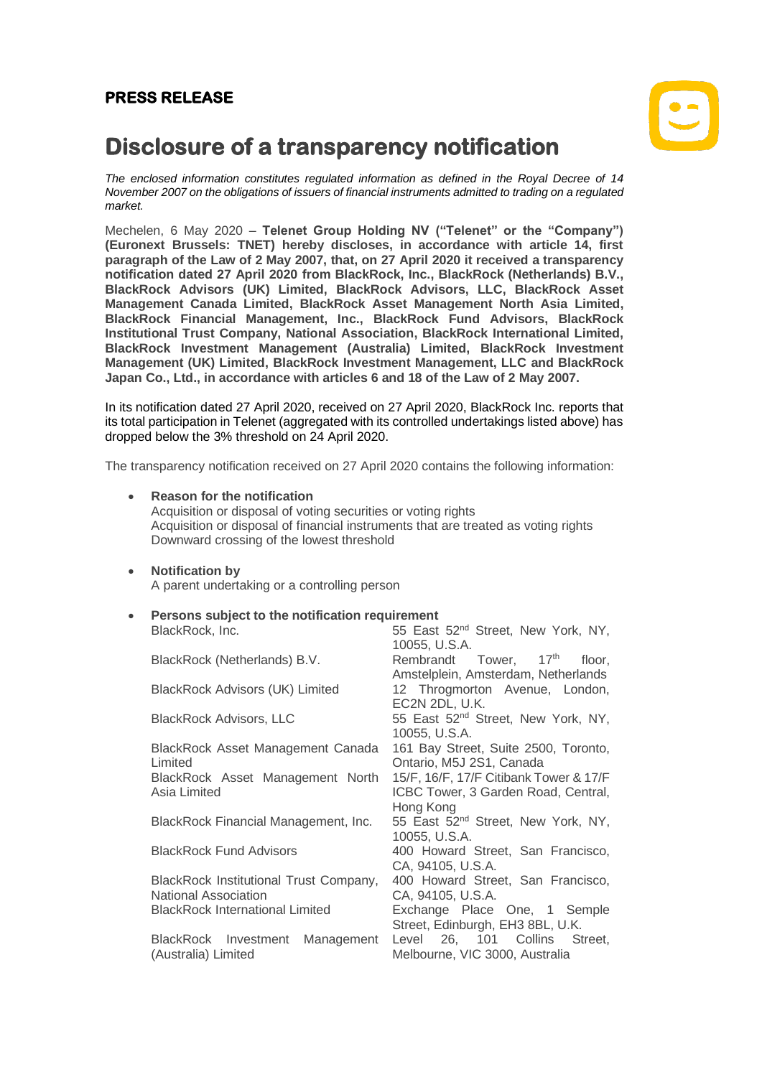## **PRESS RELEASE**



# **Disclosure of a transparency notification**

*The enclosed information constitutes regulated information as defined in the Royal Decree of 14 November 2007 on the obligations of issuers of financial instruments admitted to trading on a regulated market.*

Mechelen, 6 May 2020 – **Telenet Group Holding NV ("Telenet" or the "Company") (Euronext Brussels: TNET) hereby discloses, in accordance with article 14, first paragraph of the Law of 2 May 2007, that, on 27 April 2020 it received a transparency notification dated 27 April 2020 from BlackRock, Inc., BlackRock (Netherlands) B.V., BlackRock Advisors (UK) Limited, BlackRock Advisors, LLC, BlackRock Asset Management Canada Limited, BlackRock Asset Management North Asia Limited, BlackRock Financial Management, Inc., BlackRock Fund Advisors, BlackRock Institutional Trust Company, National Association, BlackRock International Limited, BlackRock Investment Management (Australia) Limited, BlackRock Investment Management (UK) Limited, BlackRock Investment Management, LLC and BlackRock Japan Co., Ltd., in accordance with articles 6 and 18 of the Law of 2 May 2007.**

In its notification dated 27 April 2020, received on 27 April 2020, BlackRock Inc. reports that its total participation in Telenet (aggregated with its controlled undertakings listed above) has dropped below the 3% threshold on 24 April 2020.

The transparency notification received on 27 April 2020 contains the following information:

| $\bullet$ | <b>Reason for the notification</b><br>Acquisition or disposal of voting securities or voting rights<br>Acquisition or disposal of financial instruments that are treated as voting rights<br>Downward crossing of the lowest threshold |                                                                                                                            |  |  |  |
|-----------|----------------------------------------------------------------------------------------------------------------------------------------------------------------------------------------------------------------------------------------|----------------------------------------------------------------------------------------------------------------------------|--|--|--|
| $\bullet$ | <b>Notification by</b><br>A parent undertaking or a controlling person                                                                                                                                                                 |                                                                                                                            |  |  |  |
| $\bullet$ | Persons subject to the notification requirement<br>BlackRock, Inc.                                                                                                                                                                     | 55 East 52 <sup>nd</sup> Street, New York, NY,<br>10055, U.S.A.                                                            |  |  |  |
|           | BlackRock (Netherlands) B.V.                                                                                                                                                                                                           | Rembrandt Tower, 17th<br>floor.<br>Amstelplein, Amsterdam, Netherlands                                                     |  |  |  |
|           | <b>BlackRock Advisors (UK) Limited</b>                                                                                                                                                                                                 | 12 Throgmorton Avenue, London,<br>EC2N 2DL, U.K.                                                                           |  |  |  |
|           | <b>BlackRock Advisors, LLC</b>                                                                                                                                                                                                         | 55 East 52 <sup>nd</sup> Street, New York, NY,<br>10055, U.S.A.                                                            |  |  |  |
|           | BlackRock Asset Management Canada<br>Limited                                                                                                                                                                                           | 161 Bay Street, Suite 2500, Toronto,<br>Ontario, M5J 2S1, Canada                                                           |  |  |  |
|           | BlackRock Asset Management North<br>Asia Limited                                                                                                                                                                                       | 15/F, 16/F, 17/F Citibank Tower & 17/F<br>ICBC Tower, 3 Garden Road, Central,<br>Hong Kong                                 |  |  |  |
|           | BlackRock Financial Management, Inc.                                                                                                                                                                                                   | 55 East 52 <sup>nd</sup> Street, New York, NY,<br>10055, U.S.A.                                                            |  |  |  |
|           | <b>BlackRock Fund Advisors</b>                                                                                                                                                                                                         | 400 Howard Street, San Francisco,<br>CA, 94105, U.S.A.                                                                     |  |  |  |
|           | BlackRock Institutional Trust Company,<br>National Association<br><b>BlackRock International Limited</b>                                                                                                                               | 400 Howard Street, San Francisco,<br>CA, 94105, U.S.A.<br>Exchange Place One, 1 Semple<br>Street, Edinburgh, EH3 8BL, U.K. |  |  |  |
|           | BlackRock Investment Management<br>(Australia) Limited                                                                                                                                                                                 | Level 26, 101 Collins<br>Street.<br>Melbourne, VIC 3000, Australia                                                         |  |  |  |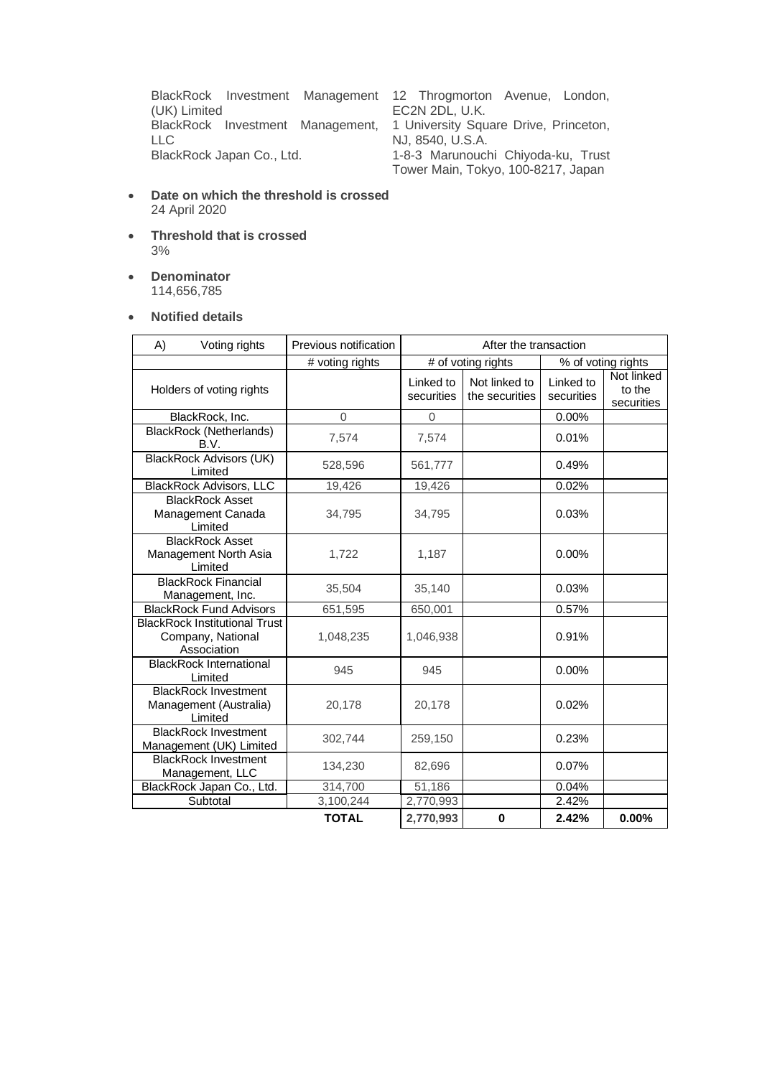BlackRock Investment Management 12 Throgmorton Avenue, London, (UK) Limited BlackRock Investment Management, LLC<br>BlackRock Japan Co., Ltd.

EC2N 2DL, U.K. 1 University Square Drive, Princeton, NJ, 8540, U.S.A. 1-8-3 Marunouchi Chiyoda-ku, Trust Tower Main, Tokyo, 100-8217, Japan

- **Date on which the threshold is crossed** 24 April 2020
- **Threshold that is crossed** 3%
- **Denominator** 114,656,785

### • **Notified details**

| A) | Voting rights                                                            | Previous notification | After the transaction   |                                 |                         |                                    |
|----|--------------------------------------------------------------------------|-----------------------|-------------------------|---------------------------------|-------------------------|------------------------------------|
|    |                                                                          | # voting rights       | # of voting rights      |                                 | % of voting rights      |                                    |
|    | Holders of voting rights                                                 |                       | Linked to<br>securities | Not linked to<br>the securities | Linked to<br>securities | Not linked<br>to the<br>securities |
|    | BlackRock, Inc.                                                          | $\overline{0}$        | $\overline{0}$          |                                 | 0.00%                   |                                    |
|    | <b>BlackRock (Netherlands)</b><br>B.V.                                   | 7,574                 | 7,574                   |                                 | 0.01%                   |                                    |
|    | <b>BlackRock Advisors (UK)</b><br>Limited                                | 528,596               | 561,777                 |                                 | 0.49%                   |                                    |
|    | <b>BlackRock Advisors, LLC</b>                                           | 19,426                | 19,426                  |                                 | 0.02%                   |                                    |
|    | <b>BlackRock Asset</b><br>Management Canada<br>Limited                   | 34,795                | 34,795                  |                                 | 0.03%                   |                                    |
|    | <b>BlackRock Asset</b><br>Management North Asia<br>Limited               | 1,722                 | 1,187                   |                                 | 0.00%                   |                                    |
|    | <b>BlackRock Financial</b><br>Management, Inc.                           | 35,504                | 35,140                  |                                 | 0.03%                   |                                    |
|    | <b>BlackRock Fund Advisors</b>                                           | 651,595               | 650,001                 |                                 | 0.57%                   |                                    |
|    | <b>BlackRock Institutional Trust</b><br>Company, National<br>Association | 1,048,235             | 1,046,938               |                                 | 0.91%                   |                                    |
|    | <b>BlackRock International</b><br>Limited                                | 945                   | 945                     |                                 | $0.00\%$                |                                    |
|    | <b>BlackRock Investment</b><br>Management (Australia)<br>Limited         | 20,178                | 20,178                  |                                 | 0.02%                   |                                    |
|    | <b>BlackRock Investment</b><br>Management (UK) Limited                   | 302,744               | 259,150                 |                                 | 0.23%                   |                                    |
|    | <b>BlackRock Investment</b><br>Management, LLC                           | 134,230               | 82,696                  |                                 | 0.07%                   |                                    |
|    | BlackRock Japan Co., Ltd.                                                | 314,700               | 51,186                  |                                 | 0.04%                   |                                    |
|    | Subtotal                                                                 | 3,100,244             | 2,770,993               |                                 | 2.42%                   |                                    |
|    |                                                                          | <b>TOTAL</b>          | 2,770,993               | 0                               | 2.42%                   | 0.00%                              |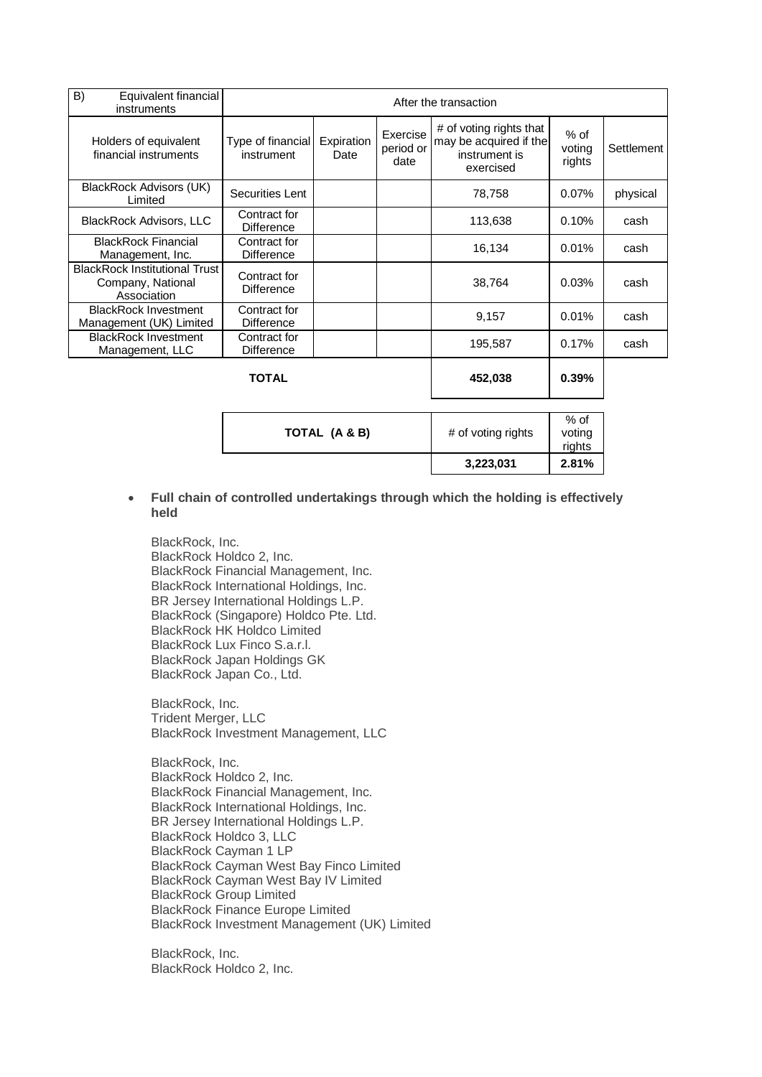| B)<br>Equivalent financial<br>instruments                                | After the transaction             |                    |                               |                                                                                 |                            |            |
|--------------------------------------------------------------------------|-----------------------------------|--------------------|-------------------------------|---------------------------------------------------------------------------------|----------------------------|------------|
| Holders of equivalent<br>financial instruments                           | Type of financial<br>instrument   | Expiration<br>Date | Exercise<br>period or<br>date | # of voting rights that<br>may be acquired if the<br>instrument is<br>exercised | $%$ of<br>voting<br>rights | Settlement |
| BlackRock Advisors (UK)<br>Limited                                       | Securities Lent                   |                    |                               | 78,758                                                                          | 0.07%                      | physical   |
| <b>BlackRock Advisors, LLC</b>                                           | Contract for<br><b>Difference</b> |                    |                               | 113,638                                                                         | 0.10%                      | cash       |
| <b>BlackRock Financial</b><br>Management, Inc.                           | Contract for<br><b>Difference</b> |                    |                               | 16,134                                                                          | 0.01%                      | cash       |
| <b>BlackRock Institutional Trust</b><br>Company, National<br>Association | Contract for<br><b>Difference</b> |                    |                               | 38,764                                                                          | 0.03%                      | cash       |
| <b>BlackRock Investment</b><br>Management (UK) Limited                   | Contract for<br><b>Difference</b> |                    |                               | 9,157                                                                           | 0.01%                      | cash       |
| <b>BlackRock Investment</b><br>Management, LLC                           | Contract for<br><b>Difference</b> |                    |                               | 195,587                                                                         | 0.17%                      | cash       |
|                                                                          | <b>TOTAL</b>                      |                    |                               | 452,038                                                                         | 0.39%                      |            |
| TOTAL (A & B)                                                            |                                   |                    |                               | # of voting rights                                                              | $%$ of<br>voting<br>rights |            |

#### • **Full chain of controlled undertakings through which the holding is effectively held**

**3,223,031 2.81%**

BlackRock, Inc. BlackRock Holdco 2, Inc. BlackRock Financial Management, Inc. BlackRock International Holdings, Inc. BR Jersey International Holdings L.P. BlackRock (Singapore) Holdco Pte. Ltd. BlackRock HK Holdco Limited BlackRock Lux Finco S.a.r.l. BlackRock Japan Holdings GK BlackRock Japan Co., Ltd.

BlackRock, Inc. Trident Merger, LLC BlackRock Investment Management, LLC

BlackRock, Inc. BlackRock Holdco 2, Inc. BlackRock Financial Management, Inc. BlackRock International Holdings, Inc. BR Jersey International Holdings L.P. BlackRock Holdco 3, LLC BlackRock Cayman 1 LP BlackRock Cayman West Bay Finco Limited BlackRock Cayman West Bay IV Limited BlackRock Group Limited BlackRock Finance Europe Limited BlackRock Investment Management (UK) Limited

BlackRock, Inc. BlackRock Holdco 2, Inc.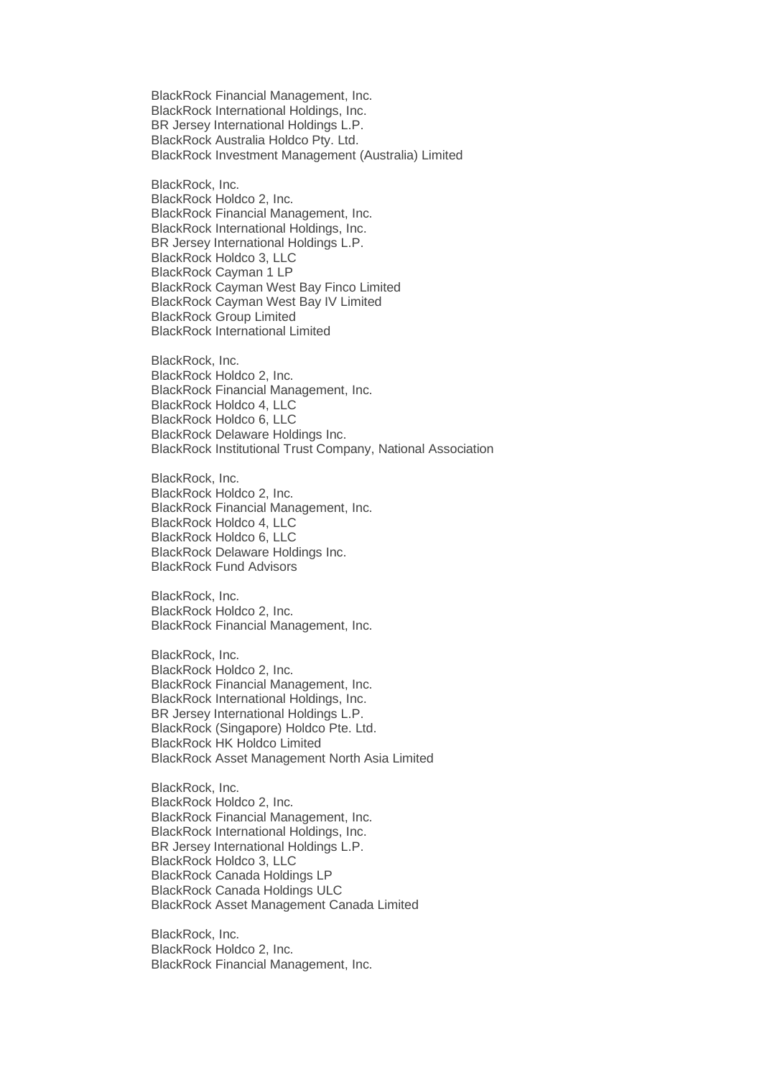BlackRock Financial Management, Inc. BlackRock International Holdings, Inc. BR Jersey International Holdings L.P. BlackRock Australia Holdco Pty. Ltd. BlackRock Investment Management (Australia) Limited

BlackRock, Inc.

BlackRock Holdco 2, Inc. BlackRock Financial Management, Inc. BlackRock International Holdings, Inc. BR Jersey International Holdings L.P. BlackRock Holdco 3, LLC BlackRock Cayman 1 LP BlackRock Cayman West Bay Finco Limited BlackRock Cayman West Bay IV Limited BlackRock Group Limited BlackRock International Limited

BlackRock, Inc. BlackRock Holdco 2, Inc. BlackRock Financial Management, Inc. BlackRock Holdco 4, LLC BlackRock Holdco 6, LLC BlackRock Delaware Holdings Inc. BlackRock Institutional Trust Company, National Association

BlackRock, Inc. BlackRock Holdco 2, Inc. BlackRock Financial Management, Inc. BlackRock Holdco 4, LLC BlackRock Holdco 6, LLC BlackRock Delaware Holdings Inc. BlackRock Fund Advisors

BlackRock, Inc. BlackRock Holdco 2, Inc. BlackRock Financial Management, Inc.

BlackRock, Inc. BlackRock Holdco 2, Inc. BlackRock Financial Management, Inc. BlackRock International Holdings, Inc. BR Jersey International Holdings L.P. BlackRock (Singapore) Holdco Pte. Ltd. BlackRock HK Holdco Limited BlackRock Asset Management North Asia Limited

BlackRock, Inc. BlackRock Holdco 2, Inc. BlackRock Financial Management, Inc. BlackRock International Holdings, Inc. BR Jersey International Holdings L.P. BlackRock Holdco 3, LLC BlackRock Canada Holdings LP BlackRock Canada Holdings ULC BlackRock Asset Management Canada Limited

BlackRock, Inc. BlackRock Holdco 2, Inc. BlackRock Financial Management, Inc.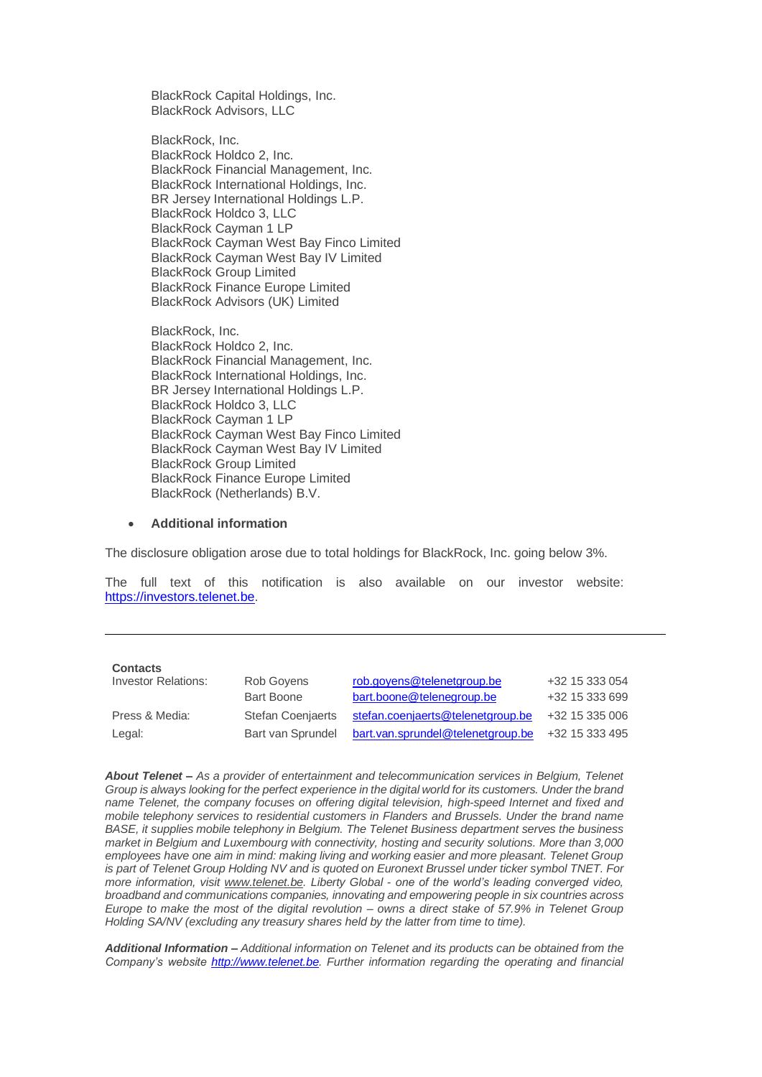BlackRock Capital Holdings, Inc. BlackRock Advisors, LLC

BlackRock, Inc. BlackRock Holdco 2, Inc. BlackRock Financial Management, Inc. BlackRock International Holdings, Inc. BR Jersey International Holdings L.P. BlackRock Holdco 3, LLC BlackRock Cayman 1 LP BlackRock Cayman West Bay Finco Limited BlackRock Cayman West Bay IV Limited BlackRock Group Limited BlackRock Finance Europe Limited BlackRock Advisors (UK) Limited

BlackRock, Inc. BlackRock Holdco 2, Inc. BlackRock Financial Management, Inc. BlackRock International Holdings, Inc. BR Jersey International Holdings L.P. BlackRock Holdco 3, LLC BlackRock Cayman 1 LP BlackRock Cayman West Bay Finco Limited BlackRock Cayman West Bay IV Limited BlackRock Group Limited BlackRock Finance Europe Limited BlackRock (Netherlands) B.V.

#### • **Additional information**

The disclosure obligation arose due to total holdings for BlackRock, Inc. going below 3%.

The full text of this notification is also available on our investor website: [https://investors.telenet.be.](https://investors.telenet.be/)

| <b>Contacts</b>            |                          |                                   |                |
|----------------------------|--------------------------|-----------------------------------|----------------|
| <b>Investor Relations:</b> | Rob Govens               | rob.govens@telenetgroup.be        | +32 15 333 054 |
|                            | <b>Bart Boone</b>        | bart.boone@telenegroup.be         | +32 15 333 699 |
| Press & Media:             | <b>Stefan Coenjaerts</b> | stefan.coenjaerts@telenetgroup.be | +32 15 335 006 |
| Legal:                     | Bart van Sprundel        | bart.van.sprundel@telenetgroup.be | +32 15 333 495 |

*About Telenet – As a provider of entertainment and telecommunication services in Belgium, Telenet Group is always looking for the perfect experience in the digital world for its customers. Under the brand name Telenet, the company focuses on offering digital television, high-speed Internet and fixed and mobile telephony services to residential customers in Flanders and Brussels. Under the brand name BASE, it supplies mobile telephony in Belgium. The Telenet Business department serves the business market in Belgium and Luxembourg with connectivity, hosting and security solutions. More than 3,000 employees have one aim in mind: making living and working easier and more pleasant. Telenet Group is part of Telenet Group Holding NV and is quoted on Euronext Brussel under ticker symbol TNET. For more information, visit [www.telenet.be.](https://www2.telenet.be/en/) Liberty Global - one of the world's leading converged video, broadband and communications companies, innovating and empowering people in six countries across Europe to make the most of the digital revolution – owns a direct stake of 57.9% in Telenet Group Holding SA/NV (excluding any treasury shares held by the latter from time to time).*

*Additional Information – Additional information on Telenet and its products can be obtained from the Company's website [http://www.telenet.be.](http://www.telenet.be/) Further information regarding the operating and financial*